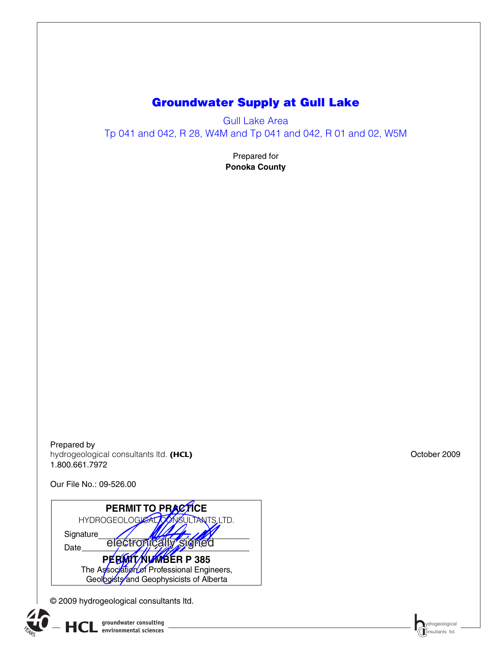# **Groundwater Supply at Gull Lake**

Gull Lake Area Tp 041 and 042, R 28, W4M and Tp 041 and 042, R 01 and 02, W5M

> Prepared for **Ponoka County**

Prepared by hydrogeological consultants ltd. (HCL) and the consultants of the consultants of the consultants of the consultants of the consultants of the consultants of the consultants of the consultants of the consultants of the cons 1.800.661.7972

Our File No.: 09-526.00



© 2009 hydrogeological consultants ltd.

 $\textbf{HCL}$  groundwater consulting  $\textbf{C}$  and  $\textbf{C}$  on substitution  $\textbf{C}$  and  $\textbf{C}$  on substitution  $\textbf{C}$  and  $\textbf{C}$  on substitution  $\textbf{C}$  and  $\textbf{C}$  on substitution  $\textbf{C}$  and  $\textbf{C}$  and  $\textbf{C}$  an **environmental sciences**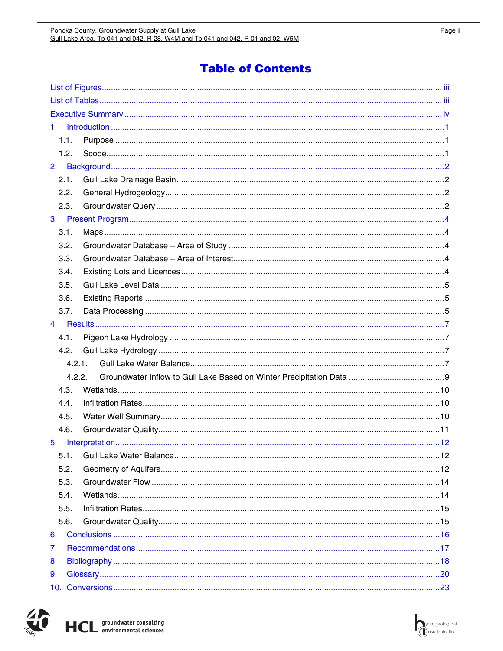| 1.   |        |  |  |  |  |  |  |
|------|--------|--|--|--|--|--|--|
| 1.1. |        |  |  |  |  |  |  |
| 1.2. |        |  |  |  |  |  |  |
|      |        |  |  |  |  |  |  |
| 2.1. |        |  |  |  |  |  |  |
| 2.2. |        |  |  |  |  |  |  |
| 2.3. |        |  |  |  |  |  |  |
|      |        |  |  |  |  |  |  |
| 3.1. |        |  |  |  |  |  |  |
| 3.2. |        |  |  |  |  |  |  |
| 3.3. |        |  |  |  |  |  |  |
| 3.4. |        |  |  |  |  |  |  |
| 3.5. |        |  |  |  |  |  |  |
| 3.6. |        |  |  |  |  |  |  |
| 3.7. |        |  |  |  |  |  |  |
|      |        |  |  |  |  |  |  |
| 4.1. |        |  |  |  |  |  |  |
| 4.2. |        |  |  |  |  |  |  |
|      | 4.2.1. |  |  |  |  |  |  |
|      | 4.2.2. |  |  |  |  |  |  |
| 4.3. |        |  |  |  |  |  |  |
| 4.4. |        |  |  |  |  |  |  |
| 4.5. |        |  |  |  |  |  |  |
| 4.6. |        |  |  |  |  |  |  |
| 5.   |        |  |  |  |  |  |  |
| 5.1. |        |  |  |  |  |  |  |
| 5.2. |        |  |  |  |  |  |  |
| 5.3. |        |  |  |  |  |  |  |
| 5.4. |        |  |  |  |  |  |  |
| 5.5. |        |  |  |  |  |  |  |
| 5.6. |        |  |  |  |  |  |  |
| 6.   |        |  |  |  |  |  |  |
| 7.   |        |  |  |  |  |  |  |
| 8.   |        |  |  |  |  |  |  |
| 9.   |        |  |  |  |  |  |  |
|      |        |  |  |  |  |  |  |
|      |        |  |  |  |  |  |  |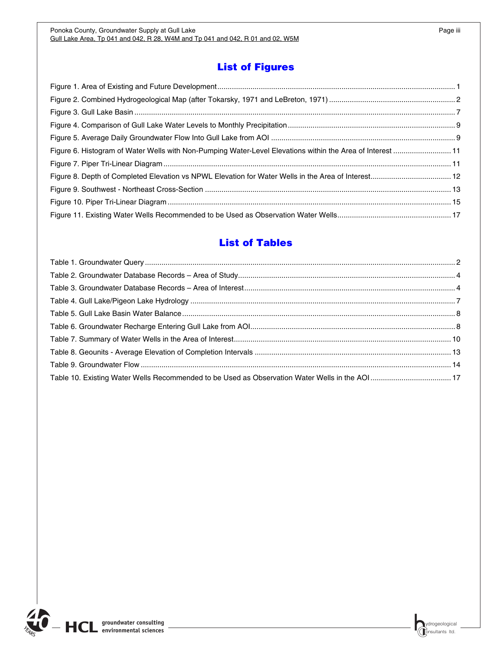## **List of Figures**

<span id="page-2-1"></span><span id="page-2-0"></span>

| Figure 6. Histogram of Water Wells with Non-Pumping Water-Level Elevations within the Area of Interest  11 |  |
|------------------------------------------------------------------------------------------------------------|--|
|                                                                                                            |  |
|                                                                                                            |  |
|                                                                                                            |  |
|                                                                                                            |  |
|                                                                                                            |  |

## **List of Tables**

<span id="page-2-2"></span>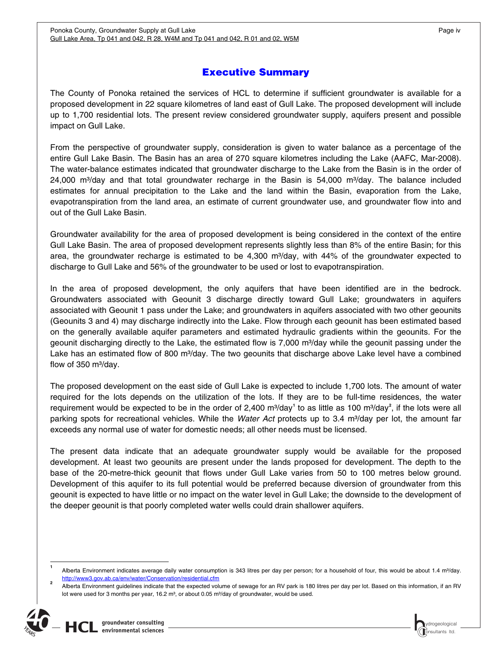## **Executive Summary**

<span id="page-3-1"></span><span id="page-3-0"></span>The County of Ponoka retained the services of HCL to determine if sufficient groundwater is available for a proposed development in 22 square kilometres of land east of Gull Lake. The proposed development will include up to 1,700 residential lots. The present review considered groundwater supply, aquifers present and possible impact on Gull Lake.

From the perspective of groundwater supply, consideration is given to water balance as a percentage of the entire Gull Lake Basin. The Basin has an area of 270 square kilometres including the Lake (AAFC, Mar-2008). The water-balance estimates indicated that groundwater discharge to the Lake from the Basin is in the order of 24,000 m<sup>3</sup>/day and that total groundwater recharge in the Basin is 54,000 m<sup>3</sup>/day. The balance included estimates for annual precipitation to the Lake and the land within the Basin, evaporation from the Lake, evapotranspiration from the land area, an estimate of current groundwater use, and groundwater flow into and out of the Gull Lake Basin.

Groundwater availability for the area of proposed development is being considered in the context of the entire Gull Lake Basin. The area of proposed development represents slightly less than 8% of the entire Basin; for this area, the groundwater recharge is estimated to be 4,300  $\text{m}^3$ /day, with 44% of the groundwater expected to discharge to Gull Lake and 56% of the groundwater to be used or lost to evapotranspiration.

In the area of proposed development, the only aquifers that have been identified are in the bedrock. Groundwaters associated with Geounit 3 discharge directly toward Gull Lake; groundwaters in aquifers associated with Geounit 1 pass under the Lake; and groundwaters in aquifers associated with two other geounits (Geounits 3 and 4) may discharge indirectly into the Lake. Flow through each geounit has been estimated based on the generally available aquifer parameters and estimated hydraulic gradients within the geounits. For the geounit discharging directly to the Lake, the estimated flow is 7,000 m<sup>3</sup>/day while the geounit passing under the Lake has an estimated flow of 800 m<sup>3</sup>/day. The two geounits that discharge above Lake level have a combined flow of 350  $m^3$ /day.

The proposed development on the east side of Gull Lake is expected to include 1,700 lots. The amount of water required for the lots depends on the utilization of the lots. If they are to be full-time residences, the water requirement would be expected to be in the order of 2,400 m<sup>3</sup>/day<sup>[1](#page-3-2)</sup> to as little as 100 m<sup>3</sup>/day<sup>[2](#page-3-3)</sup>, if the lots were all parking spots for recreational vehicles. While the *Water Act* protects up to 3.4 m<sup>3</sup>/day per lot, the amount far exceeds any normal use of water for domestic needs; all other needs must be licensed.

The present data indicate that an adequate groundwater supply would be available for the proposed development. At least two geounits are present under the lands proposed for development. The depth to the base of the 20-metre-thick geounit that flows under Gull Lake varies from 50 to 100 metres below ground. Development of this aquifer to its full potential would be preferred because diversion of groundwater from this geounit is expected to have little or no impact on the water level in Gull Lake; the downside to the development of the deeper geounit is that poorly completed water wells could drain shallower aquifers.

<span id="page-3-3"></span><span id="page-3-2"></span>Alberta Environment guidelines indicate that the expected volume of sewage for an RV park is 180 litres per day per lot. Based on this information, if an RV lot were used for 3 months per year,  $16.2$  m<sup>3</sup>, or about 0.05 m<sup>3</sup>/day of groundwater, would be used.



 **1** Alberta Environment indicates average daily water consumption is 343 litres per day per person; for a household of four, this would be about 1.4 m<sup>3</sup>/day. http://www3.gov.ab.ca/env/water/Conservation/residential.cfm **<sup>2</sup>**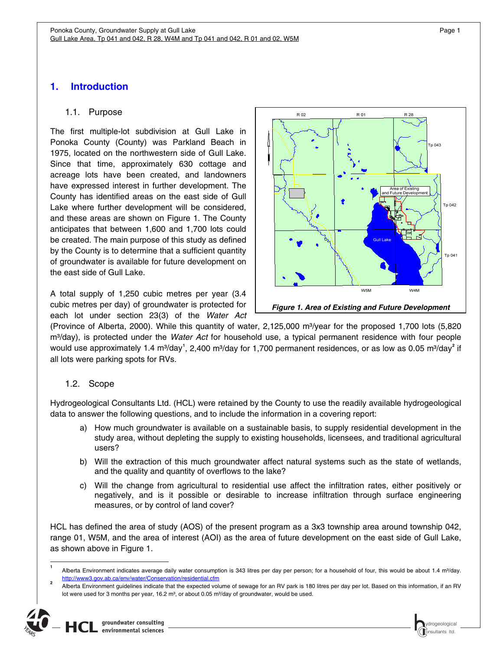## <span id="page-4-1"></span><span id="page-4-0"></span>**1. Introduction**

#### 1.1. Purpose

<span id="page-4-2"></span>The first multiple-lot subdivision at Gull Lake in Ponoka County (County) was Parkland Beach in 1975, located on the northwestern side of Gull Lake. Since that time, approximately 630 cottage and acreage lots have been created, and landowners have expressed interest in further development. The County has identified areas on the east side of Gull Lake where further development will be considered, and these areas are shown on Figure 1. The County anticipates that between 1,600 and 1,700 lots could be created. The main purpose of this study as defined by the County is to determine that a sufficient quantity of groundwater is available for future development on the east side of Gull Lake.

<span id="page-4-4"></span>A total supply of 1,250 cubic metres per year (3.4 cubic metres per day) of groundwater is protected for each lot under section 23(3) of the *Water Act*



(Province of Alberta, 2000). While this quantity of water, 2,125,000 m<sup>3</sup>/year for the proposed 1,700 lots (5,820 m<sup>3</sup>/day), is protected under the *Water Act* for household use, a typical permanent residence with four people would use approximately [1](#page-4-5).4 m<sup>3</sup>/day<sup>1</sup>, [2](#page-4-6),400 m<sup>3</sup>/day for 1,700 permanent residences, or as low as 0.05 m<sup>3</sup>/day<sup>2</sup> if all lots were parking spots for RVs.

### 1.2. Scope

**1**

<span id="page-4-3"></span>Hydrogeological Consultants Ltd. (HCL) were retained by the County to use the readily available hydrogeological data to answer the following questions, and to include the information in a covering report:

- a) How much groundwater is available on a sustainable basis, to supply residential development in the study area, without depleting the supply to existing households, licensees, and traditional agricultural users?
- b) Will the extraction of this much groundwater affect natural systems such as the state of wetlands, and the quality and quantity of overflows to the lake?
- c) Will the change from agricultural to residential use affect the infiltration rates, either positively or negatively, and is it possible or desirable to increase infiltration through surface engineering measures, or by control of land cover?

HCL has defined the area of study (AOS) of the present program as a 3x3 township area around township 042, range 01, W5M, and the area of interest (AOI) as the area of future development on the east side of Gull Lake, as shown above in Figure 1.



<span id="page-4-6"></span><span id="page-4-5"></span>Alberta Environment indicates average daily water consumption is 343 litres per day per person; for a household of four, this would be about 1.4 m<sup>3</sup>/day. http://www3.gov.ab.ca/env/water/Conservation/residential.cfm **<sup>2</sup>**

Alberta Environment guidelines indicate that the expected volume of sewage for an RV park is 180 litres per day per lot. Based on this information, if an RV lot were used for 3 months per year,  $16.2 \text{ m}^3$ , or about 0.05 m $\frac{3}{\text{day}}$  of groundwater, would be used.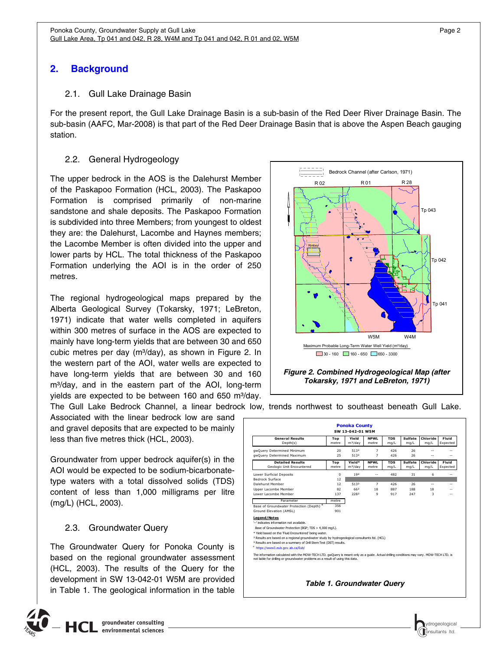## <span id="page-5-1"></span><span id="page-5-0"></span>**2. Background**

#### 2.1. Gull Lake Drainage Basin

<span id="page-5-2"></span>For the present report, the Gull Lake Drainage Basin is a sub-basin of the Red Deer River Drainage Basin. The sub-basin (AAFC, Mar-2008) is that part of the Red Deer Drainage Basin that is above the Aspen Beach gauging station.

### 2.2. General Hydrogeology

<span id="page-5-3"></span>The upper bedrock in the AOS is the Dalehurst Member of the Paskapoo Formation (HCL, 2003). The Paskapoo Formation is comprised primarily of non-marine sandstone and shale deposits. The Paskapoo Formation is subdivided into three Members; from youngest to oldest they are: the Dalehurst, Lacombe and Haynes members; the Lacombe Member is often divided into the upper and lower parts by HCL. The total thickness of the Paskapoo Formation underlying the AOI is in the order of 250 metres.

The regional hydrogeological maps prepared by the Alberta Geological Survey (Tokarsky, 1971; LeBreton, 1971) indicate that water wells completed in aquifers within 300 metres of surface in the AOS are expected to mainly have long-term yields that are between 30 and 650 cubic metres per day (m<sup>3</sup>/day), as shown in Figure 2. In the western part of the AOI, water wells are expected to have long-term yields that are between 30 and 160 m<sup>3</sup>/day, and in the eastern part of the AOI, long-term yields are expected to be between 160 and 650 m<sup>3</sup>/day. The Gull Lake Bedrock Channel, a linear bedrock low, trends northwest to southeast beneath Gull Lake.

<span id="page-5-5"></span>Associated with the linear bedrock low are sand and gravel deposits that are expected to be mainly less than five metres thick (HCL, 2003).

Groundwater from upper bedrock aquifer(s) in the AOI would be expected to be sodium-bicarbonatetype waters with a total dissolved solids (TDS) content of less than 1,000 milligrams per litre (mg/L) (HCL, 2003).

### 2.3. Groundwater Query

<span id="page-5-6"></span><span id="page-5-4"></span>The Groundwater Query for Ponoka County is based on the regional groundwater assessment (HCL, 2003). The results of the Query for the development in SW 13-042-01 W5M are provided in Table 1. The geological information in the table



*Tokarsky, 1971 and LeBreton, 1971)*

| SW 13-042-01 W5M                                                                                                                                                                                                                                                                                                                                                                                                       |              |                               |                      |                    |                        |                  |                   |  |  |
|------------------------------------------------------------------------------------------------------------------------------------------------------------------------------------------------------------------------------------------------------------------------------------------------------------------------------------------------------------------------------------------------------------------------|--------------|-------------------------------|----------------------|--------------------|------------------------|------------------|-------------------|--|--|
| <b>General Results</b><br>Depth(s)                                                                                                                                                                                                                                                                                                                                                                                     | Top<br>metre | Yield<br>m <sup>3</sup> /day  | <b>NPWL</b><br>metre | <b>TDS</b><br>mq/L | Sulfate<br>mg/L        | Chloride<br>mq/L | Fluid<br>Expected |  |  |
|                                                                                                                                                                                                                                                                                                                                                                                                                        |              |                               |                      |                    |                        |                  |                   |  |  |
| qwQuery Determined Minimum                                                                                                                                                                                                                                                                                                                                                                                             | 20           | 5132                          | $\overline{7}$       | 426                | 26                     |                  |                   |  |  |
| qwQuery Determined Maximum                                                                                                                                                                                                                                                                                                                                                                                             | 25           | 5132                          | 7                    | 426                | 26                     |                  |                   |  |  |
| <b>Detailed Results</b><br>Geologic Unit Encountered                                                                                                                                                                                                                                                                                                                                                                   | Top<br>metre | Yield*<br>m <sup>3</sup> /day | <b>NPWL</b><br>metre | <b>TDS</b><br>mg/L | <b>Sulfate</b><br>mg/L | Chloride<br>mq/L | Fluid<br>Expected |  |  |
| Lower Surficial Deposits                                                                                                                                                                                                                                                                                                                                                                                               | 0            | 19 <sup>2</sup>               | $\sim$               | 482                | 31                     | 6                | $-$               |  |  |
| Bedrock Surface                                                                                                                                                                                                                                                                                                                                                                                                        | 12           |                               |                      |                    |                        |                  |                   |  |  |
| Dalehurst Member                                                                                                                                                                                                                                                                                                                                                                                                       | 12           | 5132                          | $\overline{7}$       | 426                | 26                     | $\overline{a}$   |                   |  |  |
| Upper Lacombe Member                                                                                                                                                                                                                                                                                                                                                                                                   | 82           | 662                           | 18                   | 887                | 188                    | 18               |                   |  |  |
| Lower Lacombe Member                                                                                                                                                                                                                                                                                                                                                                                                   | 137          | 2282                          | 9                    | 917                | 247                    | 3                |                   |  |  |
| Parameter                                                                                                                                                                                                                                                                                                                                                                                                              | metre        |                               |                      |                    |                        |                  |                   |  |  |
| Base of Groundwater Protection (Depth)                                                                                                                                                                                                                                                                                                                                                                                 | 356          |                               |                      |                    |                        |                  |                   |  |  |
| Ground Elevation (AMSL)                                                                                                                                                                                                                                                                                                                                                                                                | 901          |                               |                      |                    |                        |                  |                   |  |  |
| <b>Legend/Notes</b><br>'--' indicates information not available.<br>Base of Groundwater Protection (BGP; TDS > 4,000 mg/L).<br>* Yield based on the 'Fluid Encountered' being water.<br><sup>2</sup> Results are based on a regional groundwater study by hydrogeological consultants ltd. (HCL)<br><sup>3</sup> Results are based on a summary of Drill Stem Test (DST) results.<br>4 https://www3.eub.gov.ab.ca/Eub/ |              |                               |                      |                    |                        |                  |                   |  |  |
| The information calculated with the MOW-TECH LTD, gwOuery is meant only as a guide. Actual drilling conditions may vary, MOW-TECH LTD, is<br>not liable for drilling or groundwater problems as a result of using this data.                                                                                                                                                                                           |              |                               |                      |                    |                        |                  |                   |  |  |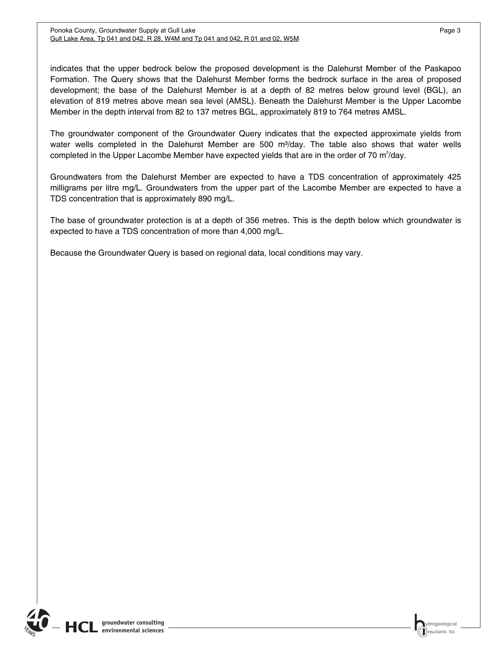indicates that the upper bedrock below the proposed development is the Dalehurst Member of the Paskapoo Formation. The Query shows that the Dalehurst Member forms the bedrock surface in the area of proposed development; the base of the Dalehurst Member is at a depth of 82 metres below ground level (BGL), an elevation of 819 metres above mean sea level (AMSL). Beneath the Dalehurst Member is the Upper Lacombe Member in the depth interval from 82 to 137 metres BGL, approximately 819 to 764 metres AMSL.

The groundwater component of the Groundwater Query indicates that the expected approximate yields from water wells completed in the Dalehurst Member are 500 m<sup>3</sup>/day. The table also shows that water wells completed in the Upper Lacombe Member have expected yields that are in the order of 70  $m^3$ /day.

Groundwaters from the Dalehurst Member are expected to have a TDS concentration of approximately 425 milligrams per litre mg/L. Groundwaters from the upper part of the Lacombe Member are expected to have a TDS concentration that is approximately 890 mg/L.

The base of groundwater protection is at a depth of 356 metres. This is the depth below which groundwater is expected to have a TDS concentration of more than 4,000 mg/L.

Because the Groundwater Query is based on regional data, local conditions may vary.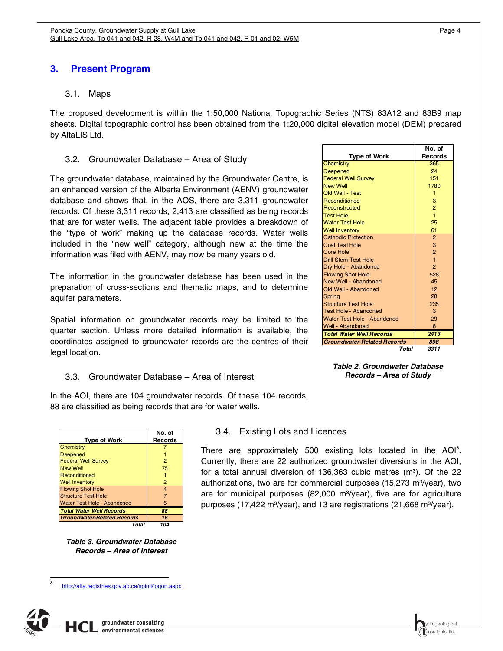## <span id="page-7-1"></span><span id="page-7-0"></span>**3. Present Program**

#### 3.1. Maps

<span id="page-7-2"></span>The proposed development is within the 1:50,000 National Topographic Series (NTS) 83A12 and 83B9 map sheets. Digital topographic control has been obtained from the 1:20,000 digital elevation model (DEM) prepared by AltaLIS Ltd.

#### 3.2. Groundwater Database – Area of Study

<span id="page-7-3"></span>The groundwater database, maintained by the Groundwater Centre, is an enhanced version of the Alberta Environment (AENV) groundwater database and shows that, in the AOS, there are 3,311 groundwater records. Of these 3,311 records, 2,413 are classified as being records that are for water wells. The adjacent table provides a breakdown of the "type of work" making up the database records. Water wells included in the "new well" category, although new at the time the information was filed with AENV, may now be many years old.

The information in the groundwater database has been used in the preparation of cross-sections and thematic maps, and to determine aquifer parameters.

Spatial information on groundwater records may be limited to the quarter section. Unless more detailed information is available, the coordinates assigned to groundwater records are the centres of their legal location.

#### 3.3. Groundwater Database – Area of Interest

<span id="page-7-6"></span><span id="page-7-4"></span>In the AOI, there are 104 groundwater records. Of these 104 records, 88 are classified as being records that are for water wells.

<span id="page-7-5"></span>

| <b>Type of Work</b>                | No. of<br><b>Records</b> |
|------------------------------------|--------------------------|
| Chemistry                          |                          |
| Deepened                           |                          |
| <b>Federal Well Survey</b>         | 2                        |
| <b>New Well</b>                    | 75                       |
| Reconditioned                      |                          |
| <b>Well Inventory</b>              | 2                        |
| <b>Flowing Shot Hole</b>           | 4                        |
| <b>Structure Test Hole</b>         |                          |
| Water Test Hole - Abandoned        | 5                        |
| <b>Total Water Well Records</b>    | 88                       |
| <b>Groundwater-Related Records</b> | 16                       |
| Total                              | 104                      |

*Table 3. Groundwater Database Records – Area of Interest* 

http://alta.registries.gov.ab.ca/spinii/logon.aspx

<span id="page-7-8"></span>

<span id="page-7-7"></span>j **3**

| <b>Well Inventory</b>              | 61             |
|------------------------------------|----------------|
| <b>Cathodic Protection</b>         | $\overline{2}$ |
| <b>Coal Test Hole</b>              | 3              |
| Core Hole                          | $\overline{2}$ |
| <b>Drill Stem Test Hole</b>        | $\overline{1}$ |
| Dry Hole - Abandoned               | $\overline{2}$ |
| <b>Flowing Shot Hole</b>           | 528            |
| New Well - Abandoned               | 45             |
| Old Well - Abandoned               | 12             |
| Spring                             | 28             |
| <b>Structure Test Hole</b>         | 235            |
| Test Hole - Abandoned              | 3              |
| Water Test Hole - Abandoned        | 29             |
| Well - Abandoned                   | 8              |
| <b>Total Water Well Records</b>    | 2413           |
| <b>Groundwater-Related Records</b> | 898            |

**Type of Work**

Chemistry 365 Deepened 24 Federal Well Survey 151 New Well 1780 Old Well - Test 1 Reconditioned 3 Reconstructed 2 2 Test Hole 1 Water Test Hole 25

*Total 3311*

*Table 2. Groundwater Database Records – Area of Study*

#### 3.4. Existing Lots and Licences

There are approximately 500 existing lots located in the AOI**[3](#page-7-8)** . Currently, there are 22 authorized groundwater diversions in the AOI, for a total annual diversion of 136,363 cubic metres  $(m<sup>3</sup>)$ . Of the 22 authorizations, two are for commercial purposes  $(15,273 \text{ m}^3/\text{year})$ , two are for municipal purposes  $(82,000 \text{ m}^3/\text{year})$ , five are for agriculture purposes (17,422 m<sup>3</sup>/year), and 13 are registrations (21,668 m<sup>3</sup>/year).

**No. of Records**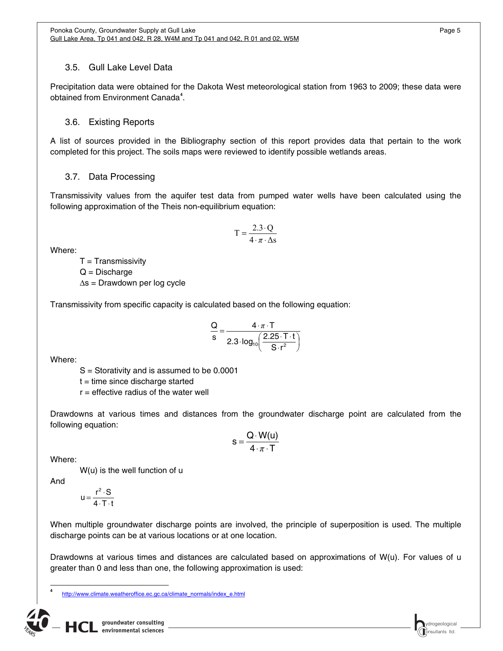## <span id="page-8-0"></span>3.5. Gull Lake Level Data

<span id="page-8-1"></span>Precipitation data were obtained for the Dakota West meteorological station from 1963 to 2009; these data were obtained from Environment Canada**[4](#page-8-4)** .

## 3.6. Existing Reports

<span id="page-8-2"></span>A list of sources provided in the Bibliography section of this report provides data that pertain to the work completed for this project. The soils maps were reviewed to identify possible wetlands areas.

## 3.7. Data Processing

<span id="page-8-3"></span>Transmissivity values from the aquifer test data from pumped water wells have been calculated using the following approximation of the Theis non-equilibrium equation:

$$
T = \frac{2.3 \cdot Q}{4 \cdot \pi \cdot \Delta s}
$$

Where:

 $T =$ Transmissivity  $Q = Discharge$  $\Delta s$  = Drawdown per log cycle

Transmissivity from specific capacity is calculated based on the following equation:

$$
\frac{Q}{s} = \frac{4 \cdot \pi \cdot T}{2.3 \cdot \log_{10}\left(\frac{2.25 \cdot T \cdot t}{S \cdot r^2}\right)}
$$

Where:

S = Storativity and is assumed to be 0.0001

 $t =$  time since discharge started

 $r =$  effective radius of the water well

Drawdowns at various times and distances from the groundwater discharge point are calculated from the following equation:

$$
s = \frac{Q \cdot W(u)}{4 \cdot \pi \cdot T}
$$

Where:

W(u) is the well function of u

And

<span id="page-8-4"></span> $\overline{\phantom{a}}$ **4**

$$
u = \frac{r^2 \cdot S}{4 \cdot T \cdot t}
$$

When multiple groundwater discharge points are involved, the principle of superposition is used. The multiple discharge points can be at various locations or at one location.

Drawdowns at various times and distances are calculated based on approximations of W(u). For values of u greater than 0 and less than one, the following approximation is used:

http://www.climate.weatheroffice.ec.gc.ca/climate\_normals/index\_e.html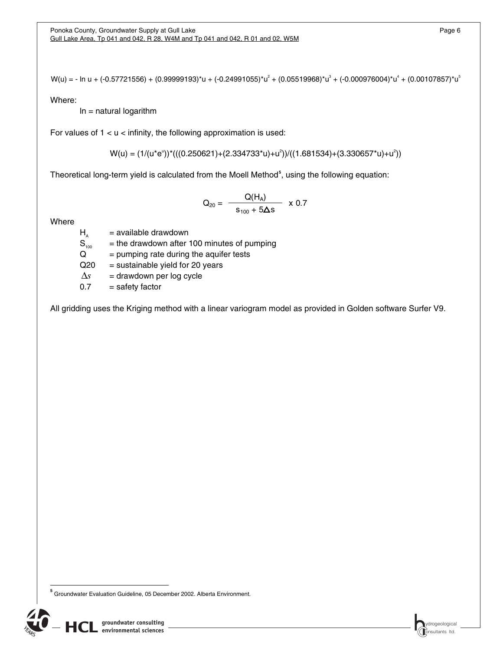W(u) = - ln u + (-0.57721556) + (0.99999193)\*u + (-0.24991055)\*u $^2$  + (0.05519968)\*u $^3$  + (-0.000976004)\*u $^4$  + (0.00107857)\*u $^5$ 

Where:

 $ln =$  natural logarithm

For values of  $1 < u <$  infinity, the following approximation is used:

 $W(u) = (1/(u^*e^u))^*(( (0.250621) + (2.334733^*u) + u^2)) / ((1.681534) + (3.330657^*u) + u^2))$ 

Theoretical long-term yield is calculated from the Moell Method<sup>[5](#page-9-0)</sup>, using the following equation:

$$
Q_{20} = \frac{Q(H_A)}{s_{100} + 5\Delta s} \times 0.7
$$

Where

 $H_A$  = available drawdown<br>  $S_{100}$  = the drawdown after  $=$  the drawdown after 100 minutes of pumping

 $Q =$  pumping rate during the aquifer tests

 $Q20 =$  sustainable yield for 20 years

 $\Delta s$  = drawdown per log cycle

 $0.7 = \text{safety factor}$ 

All gridding uses the Kriging method with a linear variogram model as provided in Golden software Surfer V9.

<span id="page-9-0"></span> **5** Groundwater Evaluation Guideline, 05 December 2002. Alberta Environment.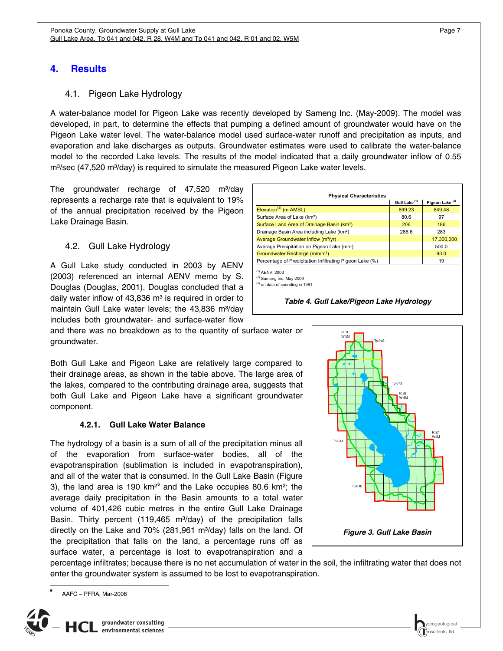## <span id="page-10-1"></span><span id="page-10-0"></span>**4. Results**

### 4.1. Pigeon Lake Hydrology

<span id="page-10-2"></span>A water-balance model for Pigeon Lake was recently developed by Sameng Inc. (May-2009). The model was developed, in part, to determine the effects that pumping a defined amount of groundwater would have on the Pigeon Lake water level. The water-balance model used surface-water runoff and precipitation as inputs, and evaporation and lake discharges as outputs. Groundwater estimates were used to calibrate the water-balance model to the recorded Lake levels. The results of the model indicated that a daily groundwater inflow of 0.55 m<sup>3</sup>/sec (47,520 m<sup>3</sup>/day) is required to simulate the measured Pigeon Lake water levels.

The groundwater recharge of  $47,520$  m<sup>3</sup>/day represents a recharge rate that is equivalent to 19% of the annual precipitation received by the Pigeon Lake Drainage Basin.

### 4.2. Gull Lake Hydrology

<span id="page-10-3"></span>A Gull Lake study conducted in 2003 by AENV (2003) referenced an internal AENV memo by S. Douglas (Douglas, 2001). Douglas concluded that a daily water inflow of  $43,836$  m<sup>3</sup> is required in order to maintain Gull Lake water levels; the  $43,836$  m<sup>3</sup>/day includes both groundwater- and surface-water flow

<span id="page-10-6"></span>and there was no breakdown as to the quantity of surface water or groundwater.

Both Gull Lake and Pigeon Lake are relatively large compared to their drainage areas, as shown in the table above. The large area of the lakes, compared to the contributing drainage area, suggests that both Gull Lake and Pigeon Lake have a significant groundwater component.

#### **4.2.1. Gull Lake Water Balance**

<span id="page-10-4"></span>The hydrology of a basin is a sum of all of the precipitation minus all of the evaporation from surface-water bodies, all of the evapotranspiration (sublimation is included in evapotranspiration), and all of the water that is consumed. In the Gull Lake Basin (Figure 3), the land area is 190 km²**[6](#page-10-7)** and the Lake occupies 80.6 km²; the average daily precipitation in the Basin amounts to a total water volume of 401,426 cubic metres in the entire Gull Lake Drainage Basin. Thirty percent (119,465 m $3$ /day) of the precipitation falls directly on the Lake and  $70\%$  (281,961 m $3/$ day) falls on the land. Of the precipitation that falls on the land, a percentage runs off as surface water, a percentage is lost to evapotranspiration and a







<span id="page-10-5"></span>percentage infiltrates; because there is no net accumulation of water in the soil, the infiltrating water that does not enter the groundwater system is assumed to be lost to evapotranspiration.



<span id="page-10-7"></span>

 $\overline{a}$ **6**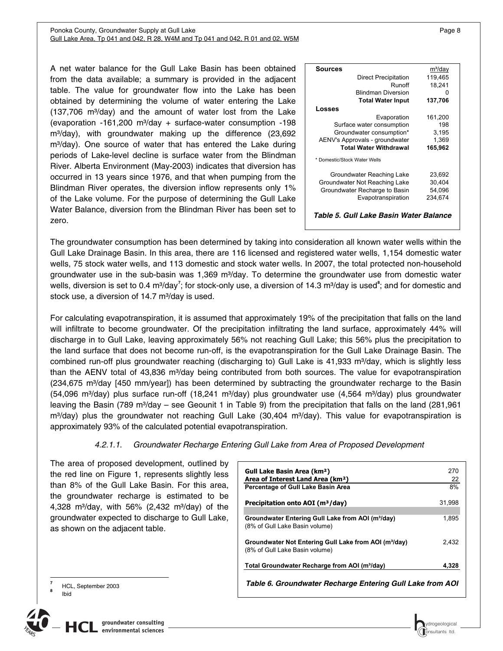#### <span id="page-11-0"></span>Ponoka County, Groundwater Supply at Gull Lake Page 8 and the Supply of Page 8 and the Page 8 and Page 8 and Page 8 Gull Lake Area, Tp 041 and 042, R 28, W4M and Tp 041 and 042, R 01 and 02, W5M

A net water balance for the Gull Lake Basin has been obtained from the data available; a summary is provided in the adjacent table. The value for groundwater flow into the Lake has been obtained by determining the volume of water entering the Lake  $(137,706 \text{ m}^3/\text{day})$  and the amount of water lost from the Lake (evaporation  $-161,200$  m<sup>3</sup>/day  $+$  surface-water consumption  $-198$  $m<sup>3</sup>/day)$ , with groundwater making up the difference  $(23,692)$ m<sup>3</sup>/day). One source of water that has entered the Lake during periods of Lake-level decline is surface water from the Blindman River. Alberta Environment (May-2003) indicates that diversion has occurred in 13 years since 1976, and that when pumping from the Blindman River operates, the diversion inflow represents only 1% of the Lake volume. For the purpose of determining the Gull Lake Water Balance, diversion from the Blindman River has been set to zero.

| m <sup>3</sup> /day                    |
|----------------------------------------|
| 119,465                                |
| 18,241                                 |
|                                        |
| 137,706                                |
|                                        |
| 161,200                                |
| 198                                    |
| 3,195                                  |
| 1,369                                  |
| 165,962                                |
|                                        |
| 23,692                                 |
| 30,404                                 |
| 54,096                                 |
| 234,674                                |
|                                        |
| Table 5. Gull Lake Basin Water Balance |
|                                        |

<span id="page-11-1"></span>The groundwater consumption has been determined by taking into consideration all known water wells within the Gull Lake Drainage Basin. In this area, there are 116 licensed and registered water wells, 1,154 domestic water wells, 75 stock water wells, and 113 domestic and stock water wells. In 2007, the total protected non-household groundwater use in the sub-basin was  $1,369$  m<sup>3</sup>/day. To determine the groundwater use from domestic water wells, diversion is set to 0.4 m<sup>3</sup>/day<sup>[7](#page-11-3)</sup>; for stock-only use, a diversion of 14.3 m<sup>3</sup>/day is used<sup>[8](#page-11-4)</sup>; and for domestic and stock use, a diversion of  $14.7 \text{ m}^3$ /day is used.

For calculating evapotranspiration, it is assumed that approximately 19% of the precipitation that falls on the land will infiltrate to become groundwater. Of the precipitation infiltrating the land surface, approximately 44% will discharge in to Gull Lake, leaving approximately 56% not reaching Gull Lake; this 56% plus the precipitation to the land surface that does not become run-off, is the evapotranspiration for the Gull Lake Drainage Basin. The combined run-off plus groundwater reaching (discharging to) Gull Lake is 41,933 m<sup>3</sup>/day, which is slightly less than the AENV total of 43,836 m<sup>3</sup>/day being contributed from both sources. The value for evapotranspiration (234,675 m<sup>3</sup>/day [450 mm/year]) has been determined by subtracting the groundwater recharge to the Basin  $(54,096 \text{ m}^3/\text{day})$  plus surface run-off  $(18,241 \text{ m}^3/\text{day})$  plus groundwater use  $(4,564 \text{ m}^3/\text{day})$  plus groundwater leaving the Basin (789 m<sup>3</sup>/day – see Geounit 1 in Table 9) from the precipitation that falls on the land (281,961 m<sup>3</sup>/day) plus the groundwater not reaching Gull Lake (30,404 m<sup>3</sup>/day). This value for evapotranspiration is approximately 93% of the calculated potential evapotranspiration.

#### *4.2.1.1. Groundwater Recharge Entering Gull Lake from Area of Proposed Development*

The area of proposed development, outlined by the red line on Figure 1, represents slightly less than 8% of the Gull Lake Basin. For this area, the groundwater recharge is estimated to be 4,328 m<sup>3</sup>/day, with 56% (2,432 m<sup>3</sup>/day) of the groundwater expected to discharge to Gull Lake, as shown on the adjacent table.

| Gull Lake Basin Area (km <sup>2</sup> )<br>Area of Interest Land Area (km <sup>2</sup> )            | 270<br>22 |
|-----------------------------------------------------------------------------------------------------|-----------|
| Percentage of Gull Lake Basin Area                                                                  | 8%        |
| Precipitation onto AOI (m <sup>3</sup> /day)                                                        | 31,998    |
| Groundwater Entering Gull Lake from AOI (m <sup>3</sup> /day)<br>(8% of Gull Lake Basin volume)     | 1.895     |
| Groundwater Not Entering Gull Lake from AOI (m <sup>3</sup> /day)<br>(8% of Gull Lake Basin volume) | 2.432     |
| Total Groundwater Recharge from AOI (m <sup>3</sup> /day)                                           | 4,328     |
| Table 6. Groundwater Recharge Entering Gull Lake from AOI                                           |           |

HCL, September 2003

Ibid

<span id="page-11-2"></span> $\overline{a}$ **7**

<span id="page-11-4"></span><span id="page-11-3"></span>**8**



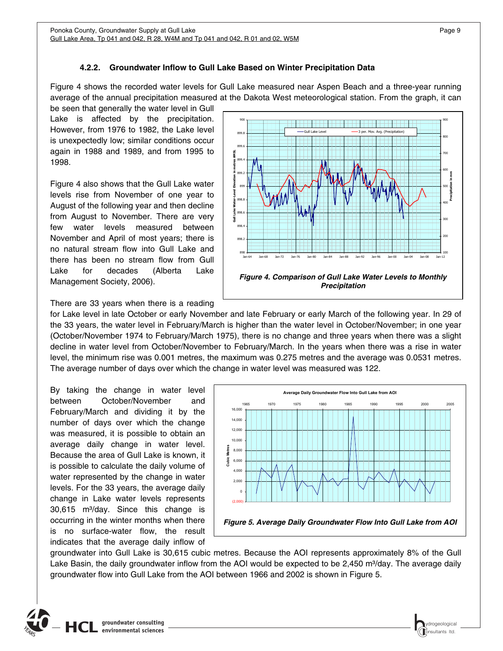## **4.2.2. Groundwater Inflow to Gull Lake Based on Winter Precipitation Data**

<span id="page-12-1"></span><span id="page-12-0"></span>Figure 4 shows the recorded water levels for Gull Lake measured near Aspen Beach and a three-year running average of the annual precipitation measured at the Dakota West meteorological station. From the graph, it can

be seen that generally the water level in Gull Lake is affected by the precipitation. However, from 1976 to 1982, the Lake level is unexpectedly low; similar conditions occur again in 1988 and 1989, and from 1995 to 1998.

Figure 4 also shows that the Gull Lake water levels rise from November of one year to August of the following year and then decline from August to November. There are very few water levels measured between November and April of most years; there is no natural stream flow into Gull Lake and there has been no stream flow from Gull Lake for decades (Alberta Lake Management Society, 2006).



<span id="page-12-2"></span>There are 33 years when there is a reading

for Lake level in late October or early November and late February or early March of the following year. In 29 of the 33 years, the water level in February/March is higher than the water level in October/November; in one year (October/November 1974 to February/March 1975), there is no change and three years when there was a slight decline in water level from October/November to February/March. In the years when there was a rise in water level, the minimum rise was 0.001 metres, the maximum was 0.275 metres and the average was 0.0531 metres. The average number of days over which the change in water level was measured was 122.

By taking the change in water level between October/November and February/March and dividing it by the number of days over which the change was measured, it is possible to obtain an average daily change in water level. Because the area of Gull Lake is known, it is possible to calculate the daily volume of water represented by the change in water levels. For the 33 years, the average daily change in Lake water levels represents 30,615 m<sup>3</sup>/day. Since this change is occurring in the winter months when there is no surface-water flow, the result indicates that the average daily inflow of



<span id="page-12-3"></span>groundwater into Gull Lake is 30,615 cubic metres. Because the AOI represents approximately 8% of the Gull Lake Basin, the daily groundwater inflow from the AOI would be expected to be 2,450 m $\frac{3}{\text{day}}$ . The average daily groundwater flow into Gull Lake from the AOI between 1966 and 2002 is shown in Figure 5.

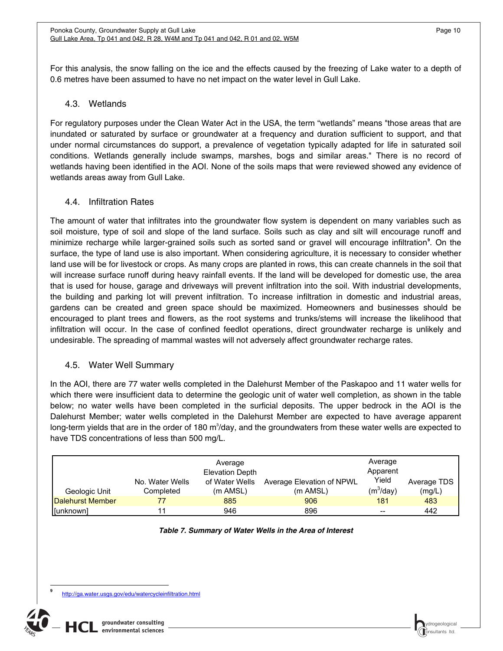<span id="page-13-0"></span>For this analysis, the snow falling on the ice and the effects caused by the freezing of Lake water to a depth of 0.6 metres have been assumed to have no net impact on the water level in Gull Lake.

## 4.3. Wetlands

<span id="page-13-1"></span>For regulatory purposes under the Clean Water Act in the USA, the term "wetlands" means "those areas that are inundated or saturated by surface or groundwater at a frequency and duration sufficient to support, and that under normal circumstances do support, a prevalence of vegetation typically adapted for life in saturated soil conditions. Wetlands generally include swamps, marshes, bogs and similar areas." There is no record of wetlands having been identified in the AOI. None of the soils maps that were reviewed showed any evidence of wetlands areas away from Gull Lake.

### 4.4. Infiltration Rates

<span id="page-13-2"></span>The amount of water that infiltrates into the groundwater flow system is dependent on many variables such as soil moisture, type of soil and slope of the land surface. Soils such as clay and silt will encourage runoff and minimize recharge while larger-grained soils such as sorted sand or gravel will encourage infiltration**[9](#page-13-5)** . On the surface, the type of land use is also important. When considering agriculture, it is necessary to consider whether land use will be for livestock or crops. As many crops are planted in rows, this can create channels in the soil that will increase surface runoff during heavy rainfall events. If the land will be developed for domestic use, the area that is used for house, garage and driveways will prevent infiltration into the soil. With industrial developments, the building and parking lot will prevent infiltration. To increase infiltration in domestic and industrial areas, gardens can be created and green space should be maximized. Homeowners and businesses should be encouraged to plant trees and flowers, as the root systems and trunks/stems will increase the likelihood that infiltration will occur. In the case of confined feedlot operations, direct groundwater recharge is unlikely and undesirable. The spreading of mammal wastes will not adversely affect groundwater recharge rates.

## 4.5. Water Well Summary

<span id="page-13-3"></span>In the AOI, there are 77 water wells completed in the Dalehurst Member of the Paskapoo and 11 water wells for which there were insufficient data to determine the geologic unit of water well completion, as shown in the table below; no water wells have been completed in the surficial deposits. The upper bedrock in the AOI is the Dalehurst Member; water wells completed in the Dalehurst Member are expected to have average apparent long-term yields that are in the order of 180 m<sup>3</sup>/day, and the groundwaters from these water wells are expected to have TDS concentrations of less than 500 mg/L.

| Geologic Unit    | No. Water Wells<br>Completed | Average<br><b>Elevation Depth</b><br>of Water Wells<br>(m AMSL) | Average Elevation of NPWL<br>$(m$ AMSL $)$ | Average<br>Apparent<br>Yield<br>$(m^3/day)$ | Average TDS<br>(mg/L) |
|------------------|------------------------------|-----------------------------------------------------------------|--------------------------------------------|---------------------------------------------|-----------------------|
| Dalehurst Member | 77                           | 885                                                             | 906                                        | 181                                         | 483                   |
| [unknown]        | 11                           | 946                                                             | 896                                        | $- -$                                       | 442                   |

#### *Table 7. Summary of Water Wells in the Area of Interest*

<span id="page-13-5"></span><span id="page-13-4"></span> $\overline{a}$ **9**

http://ga.water.usgs.gov/edu/watercycleinfiltration.html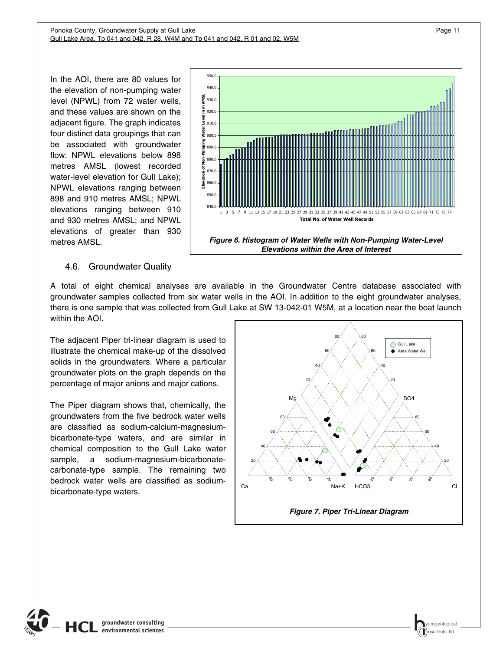<span id="page-14-0"></span>In the AOI, there are 80 values for the elevation of non-pumping water level (NPWL) from 72 water wells, and these values are shown on the adjacent figure. The graph indicates four distinct data groupings that can be associated with groundwater flow: NPWL elevations below 898 metres AMSL (lowest recorded water-level elevation for Gull Lake); NPWL elevations ranging between 898 and 910 metres AMSL; NPWL elevations ranging between 910 and 930 metres AMSL; and NPWL elevations of greater than 930 metres AMSL.



## 4.6. Groundwater Quality

<span id="page-14-2"></span><span id="page-14-1"></span>A total of eight chemical analyses are available in the Groundwater Centre database associated with groundwater samples collected from six water wells in the AOI. In addition to the eight groundwater analyses, there is one sample that was collected from Gull Lake at SW 13-042-01 W5M, at a location near the boat launch within the AOI.

The adjacent Piper tri-linear diagram is used to illustrate the chemical make-up of the dissolved solids in the groundwaters. Where a particular groundwater plots on the graph depends on the percentage of major anions and major cations.

<span id="page-14-3"></span>The Piper diagram shows that, chemically, the groundwaters from the five bedrock water wells are classified as sodium-calcium-magnesiumbicarbonate-type waters, and are similar in chemical composition to the Gull Lake water sample, a sodium-magnesium-bicarbonatecarbonate-type sample. The remaining two bedrock water wells are classified as sodiumbicarbonate-type waters.

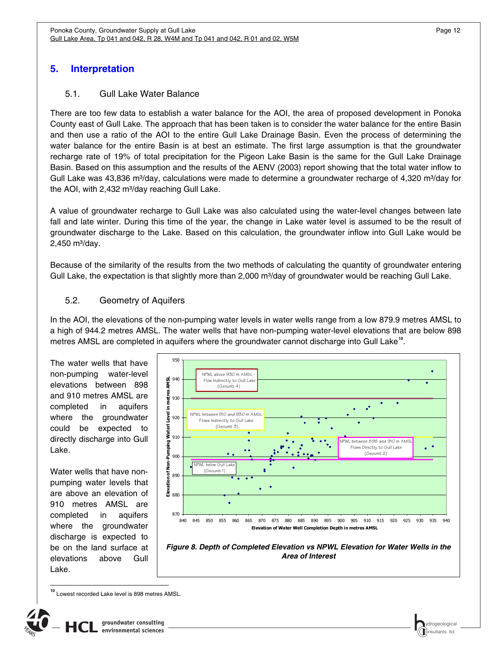## <span id="page-15-1"></span><span id="page-15-0"></span>**5. Interpretation**

### 5.1. Gull Lake Water Balance

<span id="page-15-2"></span>There are too few data to establish a water balance for the AOI, the area of proposed development in Ponoka County east of Gull Lake. The approach that has been taken is to consider the water balance for the entire Basin and then use a ratio of the AOI to the entire Gull Lake Drainage Basin. Even the process of determining the water balance for the entire Basin is at best an estimate. The first large assumption is that the groundwater recharge rate of 19% of total precipitation for the Pigeon Lake Basin is the same for the Gull Lake Drainage Basin. Based on this assumption and the results of the AENV (2003) report showing that the total water inflow to Gull Lake was 43,836 m<sup>3</sup>/day, calculations were made to determine a groundwater recharge of 4,320 m<sup>3</sup>/day for the AOI, with 2,432 m<sup>3</sup>/day reaching Gull Lake.

A value of groundwater recharge to Gull Lake was also calculated using the water-level changes between late fall and late winter. During this time of the year, the change in Lake water level is assumed to be the result of groundwater discharge to the Lake. Based on this calculation, the groundwater inflow into Gull Lake would be  $2,450$  m $^{3}/day$ .

Because of the similarity of the results from the two methods of calculating the quantity of groundwater entering Gull Lake, the expectation is that slightly more than 2,000 m<sup>3</sup>/day of groundwater would be reaching Gull Lake.

### 5.2. Geometry of Aquifers

<span id="page-15-3"></span>In the AOI, the elevations of the non-pumping water levels in water wells range from a low 879.9 metres AMSL to a high of 944.2 metres AMSL. The water wells that have non-pumping water-level elevations that are below 898 metres AMSL are completed in aquifers where the groundwater cannot discharge into Gull Lake**[10](#page-15-5)**.

The water wells that have non-pumping water-level elevations between 898 and 910 metres AMSL are completed in aquifers where the groundwater could be expected to directly discharge into Gull Lake.

Water wells that have nonpumping water levels that are above an elevation of 910 metres AMSL are completed in aquifers where the groundwater discharge is expected to be on the land surface at elevations above Gull Lake.



*Figure 8. Depth of Completed Elevation vs NPWL Elevation for Water Wells in the Area of Interest* 

<span id="page-15-5"></span>Lowest recorded Lake level is 898 metres AMSL.

<span id="page-15-4"></span> $\overline{1}$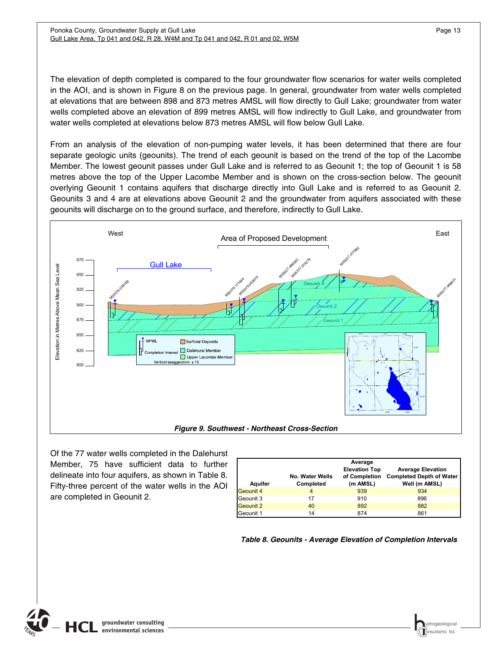<span id="page-16-0"></span>The elevation of depth completed is compared to the four groundwater flow scenarios for water wells completed in the AOI, and is shown in Figure 8 on the previous page. In general, groundwater from water wells completed at elevations that are between 898 and 873 metres AMSL will flow directly to Gull Lake; groundwater from water wells completed above an elevation of 899 metres AMSL will flow indirectly to Gull Lake, and groundwater from water wells completed at elevations below 873 metres AMSL will flow below Gull Lake.

From an analysis of the elevation of non-pumping water levels, it has been determined that there are four separate geologic units (geounits). The trend of each geounit is based on the trend of the top of the Lacombe Member. The lowest geounit passes under Gull Lake and is referred to as Geounit 1; the top of Geounit 1 is 58 metres above the top of the Upper Lacombe Member and is shown on the cross-section below. The geounit overlying Geounit 1 contains aquifers that discharge directly into Gull Lake and is referred to as Geounit 2. Geounits 3 and 4 are at elevations above Geounit 2 and the groundwater from aquifers associated with these geounits will discharge on to the ground surface, and therefore, indirectly to Gull Lake.



<span id="page-16-1"></span>Of the 77 water wells completed in the Dalehurst Member, 75 have sufficient data to further delineate into four aquifers, as shown in Table 8. Fifty-three percent of the water wells in the AOI are completed in Geounit 2.

| Aquifer   | No. Water Wells<br>Completed | Average<br><b>Elevation Top</b><br>of Completion<br>(m AMSL) | <b>Average Elevation</b><br><b>Completed Depth of Water</b><br>Well (m AMSL) |
|-----------|------------------------------|--------------------------------------------------------------|------------------------------------------------------------------------------|
| Geounit 4 | 4                            | 939                                                          | 934                                                                          |
| Geounit 3 | 17                           | 910                                                          | 896                                                                          |
| Geounit 2 | 40                           | 892                                                          | 882                                                                          |
| Geounit 1 | 14                           | 874                                                          | 861                                                                          |

*Table 8. Geounits - Average Elevation of Completion Intervals*

<span id="page-16-2"></span>

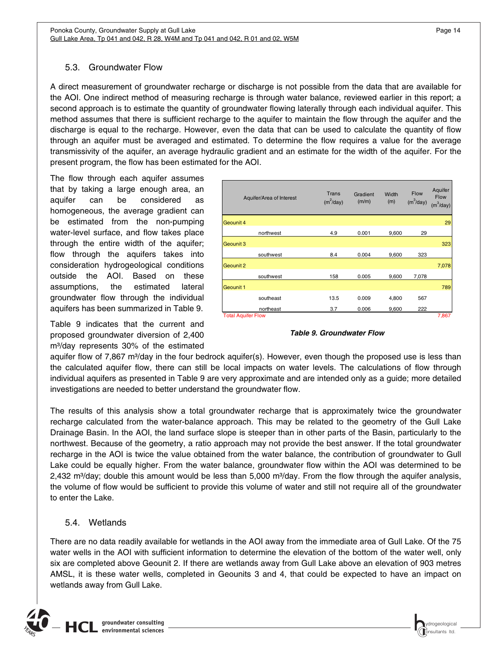## <span id="page-17-0"></span>5.3. Groundwater Flow

<span id="page-17-1"></span>A direct measurement of groundwater recharge or discharge is not possible from the data that are available for the AOI. One indirect method of measuring recharge is through water balance, reviewed earlier in this report; a second approach is to estimate the quantity of groundwater flowing laterally through each individual aquifer. This method assumes that there is sufficient recharge to the aquifer to maintain the flow through the aquifer and the discharge is equal to the recharge. However, even the data that can be used to calculate the quantity of flow through an aquifer must be averaged and estimated. To determine the flow requires a value for the average transmissivity of the aquifer, an average hydraulic gradient and an estimate for the width of the aquifer. For the present program, the flow has been estimated for the AOI.

The flow through each aquifer assumes that by taking a large enough area, an aquifer can be considered as homogeneous, the average gradient can be estimated from the non-pumping water-level surface, and flow takes place through the entire width of the aquifer; flow through the aquifers takes into consideration hydrogeological conditions outside the AOI. Based on these assumptions, the estimated lateral groundwater flow through the individual aquifers has been summarized in Table 9.

<span id="page-17-3"></span>Table 9 indicates that the current and proposed groundwater diversion of 2,400  $m<sup>3</sup>/day$  represents 30% of the estimated

|                           | Aquifer/Area of Interest | Trans<br>$(m^2$ /day) | Gradient<br>(m/m) | Width<br>(m) | <b>Flow</b><br>$(m^3$ /day) | Aquifer<br><b>Flow</b><br>$(m^3$ /day) |
|---------------------------|--------------------------|-----------------------|-------------------|--------------|-----------------------------|----------------------------------------|
| Geounit 4                 |                          |                       |                   |              |                             | 29                                     |
|                           | northwest                | 4.9                   | 0.001             | 9,600        | 29                          |                                        |
| Geounit 3                 |                          |                       |                   |              |                             | 323                                    |
|                           | southwest                | 8.4                   | 0.004             | 9,600        | 323                         |                                        |
| Geounit 2                 |                          |                       |                   |              |                             | 7,078                                  |
|                           | southwest                | 158                   | 0.005             | 9,600        | 7,078                       |                                        |
| Geounit 1                 |                          |                       |                   |              |                             | 789                                    |
|                           | southeast                | 13.5                  | 0.009             | 4,800        | 567                         |                                        |
|                           | northeast                | 3.7                   | 0.006             | 9,600        | 222                         |                                        |
| <b>Total Aquifer Flow</b> |                          |                       |                   |              |                             | 7,867                                  |

#### *Table 9. Groundwater Flow*

aquifer flow of 7,867 m<sup>3</sup>/day in the four bedrock aquifer(s). However, even though the proposed use is less than the calculated aquifer flow, there can still be local impacts on water levels. The calculations of flow through individual aquifers as presented in Table 9 are very approximate and are intended only as a guide; more detailed investigations are needed to better understand the groundwater flow.

The results of this analysis show a total groundwater recharge that is approximately twice the groundwater recharge calculated from the water-balance approach. This may be related to the geometry of the Gull Lake Drainage Basin. In the AOI, the land surface slope is steeper than in other parts of the Basin, particularly to the northwest. Because of the geometry, a ratio approach may not provide the best answer. If the total groundwater recharge in the AOI is twice the value obtained from the water balance, the contribution of groundwater to Gull Lake could be equally higher. From the water balance, groundwater flow within the AOI was determined to be 2,432 m<sup>3</sup>/day; double this amount would be less than 5,000 m<sup>3</sup>/day. From the flow through the aquifer analysis, the volume of flow would be sufficient to provide this volume of water and still not require all of the groundwater to enter the Lake.

### 5.4. Wetlands

<span id="page-17-2"></span>There are no data readily available for wetlands in the AOI away from the immediate area of Gull Lake. Of the 75 water wells in the AOI with sufficient information to determine the elevation of the bottom of the water well, only six are completed above Geounit 2. If there are wetlands away from Gull Lake above an elevation of 903 metres AMSL, it is these water wells, completed in Geounits 3 and 4, that could be expected to have an impact on wetlands away from Gull Lake.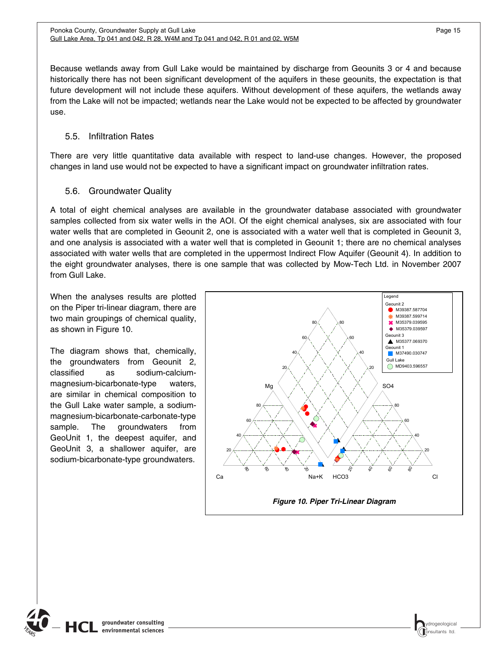<span id="page-18-0"></span>Because wetlands away from Gull Lake would be maintained by discharge from Geounits 3 or 4 and because historically there has not been significant development of the aquifers in these geounits, the expectation is that future development will not include these aquifers. Without development of these aquifers, the wetlands away from the Lake will not be impacted; wetlands near the Lake would not be expected to be affected by groundwater use.

## 5.5. Infiltration Rates

<span id="page-18-1"></span>There are very little quantitative data available with respect to land-use changes. However, the proposed changes in land use would not be expected to have a significant impact on groundwater infiltration rates.

## 5.6. Groundwater Quality

<span id="page-18-2"></span>A total of eight chemical analyses are available in the groundwater database associated with groundwater samples collected from six water wells in the AOI. Of the eight chemical analyses, six are associated with four water wells that are completed in Geounit 2, one is associated with a water well that is completed in Geounit 3, and one analysis is associated with a water well that is completed in Geounit 1; there are no chemical analyses associated with water wells that are completed in the uppermost Indirect Flow Aquifer (Geounit 4). In addition to the eight groundwater analyses, there is one sample that was collected by Mow-Tech Ltd. in November 2007 from Gull Lake.

When the analyses results are plotted on the Piper tri-linear diagram, there are two main groupings of chemical quality, as shown in Figure 10.

The diagram shows that, chemically, the groundwaters from Geounit 2, classified as sodium-calciummagnesium-bicarbonate-type waters, are similar in chemical composition to the Gull Lake water sample, a sodiummagnesium-bicarbonate-carbonate-type sample. The groundwaters from GeoUnit 1, the deepest aquifer, and GeoUnit 3, a shallower aquifer, are sodium-bicarbonate-type groundwaters.



<span id="page-18-3"></span>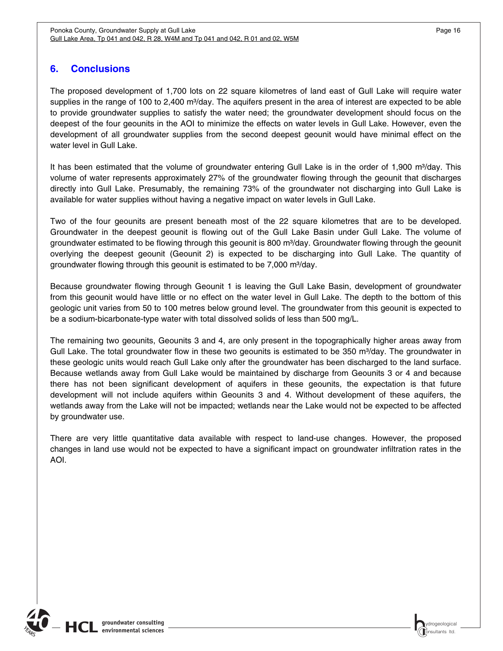## <span id="page-19-1"></span><span id="page-19-0"></span>**6. Conclusions**

The proposed development of 1,700 lots on 22 square kilometres of land east of Gull Lake will require water supplies in the range of 100 to 2,400 m $\frac{3}{4}$ day. The aquifers present in the area of interest are expected to be able to provide groundwater supplies to satisfy the water need; the groundwater development should focus on the deepest of the four geounits in the AOI to minimize the effects on water levels in Gull Lake. However, even the development of all groundwater supplies from the second deepest geounit would have minimal effect on the water level in Gull Lake.

It has been estimated that the volume of groundwater entering Gull Lake is in the order of 1,900 m<sup>3</sup>/day. This volume of water represents approximately 27% of the groundwater flowing through the geounit that discharges directly into Gull Lake. Presumably, the remaining 73% of the groundwater not discharging into Gull Lake is available for water supplies without having a negative impact on water levels in Gull Lake.

Two of the four geounits are present beneath most of the 22 square kilometres that are to be developed. Groundwater in the deepest geounit is flowing out of the Gull Lake Basin under Gull Lake. The volume of groundwater estimated to be flowing through this geounit is 800 m<sup>3</sup>/day. Groundwater flowing through the geounit overlying the deepest geounit (Geounit 2) is expected to be discharging into Gull Lake. The quantity of groundwater flowing through this geounit is estimated to be 7,000 m<sup>3</sup>/day.

Because groundwater flowing through Geounit 1 is leaving the Gull Lake Basin, development of groundwater from this geounit would have little or no effect on the water level in Gull Lake. The depth to the bottom of this geologic unit varies from 50 to 100 metres below ground level. The groundwater from this geounit is expected to be a sodium-bicarbonate-type water with total dissolved solids of less than 500 mg/L.

The remaining two geounits, Geounits 3 and 4, are only present in the topographically higher areas away from Gull Lake. The total groundwater flow in these two geounits is estimated to be 350 m $\frac{3}{4}$ day. The groundwater in these geologic units would reach Gull Lake only after the groundwater has been discharged to the land surface. Because wetlands away from Gull Lake would be maintained by discharge from Geounits 3 or 4 and because there has not been significant development of aquifers in these geounits, the expectation is that future development will not include aquifers within Geounits 3 and 4. Without development of these aquifers, the wetlands away from the Lake will not be impacted; wetlands near the Lake would not be expected to be affected by groundwater use.

There are very little quantitative data available with respect to land-use changes. However, the proposed changes in land use would not be expected to have a significant impact on groundwater infiltration rates in the AOI.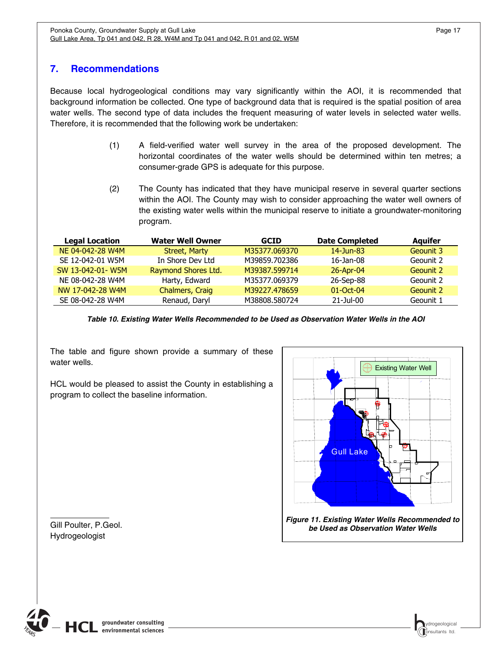## <span id="page-20-1"></span><span id="page-20-0"></span>**7. Recommendations**

Because local hydrogeological conditions may vary significantly within the AOI, it is recommended that background information be collected. One type of background data that is required is the spatial position of area water wells. The second type of data includes the frequent measuring of water levels in selected water wells. Therefore, it is recommended that the following work be undertaken:

- (1) A field-verified water well survey in the area of the proposed development. The horizontal coordinates of the water wells should be determined within ten metres; a consumer-grade GPS is adequate for this purpose.
- (2) The County has indicated that they have municipal reserve in several quarter sections within the AOI. The County may wish to consider approaching the water well owners of the existing water wells within the municipal reserve to initiate a groundwater-monitoring program.

| <b>Legal Location</b> | <b>Water Well Owner</b> | <b>GCID</b>   | <b>Date Completed</b> | <b>Aquifer</b> |
|-----------------------|-------------------------|---------------|-----------------------|----------------|
| NE 04-042-28 W4M      | Street, Marty           | M35377.069370 | $14 - Jun-83$         | Geounit 3      |
| SE 12-042-01 W5M      | In Shore Dev Ltd        | M39859.702386 | $16$ -Jan-08          | Geounit 2      |
| SW 13-042-01-W5M      | Raymond Shores Ltd.     | M39387.599714 | 26-Apr-04             | Geounit 2      |
| NE 08-042-28 W4M      | Harty, Edward           | M35377.069379 | 26-Sep-88             | Geounit 2      |
| NW 17-042-28 W4M      | Chalmers, Craig         | M39227.478659 | $01$ -Oct-04          | Geounit 2      |
| SE 08-042-28 W4M      | Renaud, Daryl           | M38808.580724 | $21 -$ Jul-00         | Geounit 1      |

*Table 10. Existing Water Wells Recommended to be Used as Observation Water Wells in the AOI*

<span id="page-20-3"></span>The table and figure shown provide a summary of these water wells.

HCL would be pleased to assist the County in establishing a program to collect the baseline information.



*Figure 11. Existing Water Wells Recommended to be Used as Observation Water Wells*

<span id="page-20-2"></span>Gill Poulter, P.Geol. Hydrogeologist

l

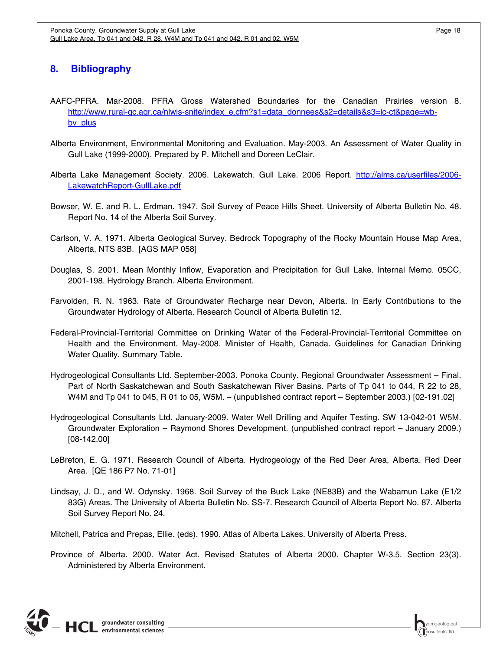## <span id="page-21-1"></span><span id="page-21-0"></span>**8. Bibliography**

- AAFC-PFRA. Mar-2008. PFRA Gross Watershed Boundaries for the Canadian Prairies version 8. [http://www.rural-gc.agr.ca/nlwis-snite/index\\_e.cfm?s1=data\\_donnees&s2=details&s3=lc-ct&page=wb](http://www.rural-gc.agr.ca/nlwis-snite/index_e.cfm?s1=data_donnees&s2=details&s3=lc-ct&page=wb-bv_plus)by plus
- Alberta Environment, Environmental Monitoring and Evaluation. May-2003. An Assessment of Water Quality in Gull Lake (1999-2000). Prepared by P. Mitchell and Doreen LeClair.
- Alberta Lake Management Society. 2006. Lakewatch. Gull Lake. 2006 Report. http://alms.ca/userfiles/2006-LakewatchReport-GullLake.pdf
- Bowser, W. E. and R. L. Erdman. 1947. Soil Survey of Peace Hills Sheet. University of Alberta Bulletin No. 48. Report No. 14 of the Alberta Soil Survey.
- Carlson, V. A. 1971. Alberta Geological Survey. Bedrock Topography of the Rocky Mountain House Map Area, Alberta, NTS 83B. [AGS MAP 058]
- Douglas, S. 2001. Mean Monthly Inflow, Evaporation and Precipitation for Gull Lake. Internal Memo. 05CC, 2001-198. Hydrology Branch. Alberta Environment.
- Farvolden, R. N. 1963. Rate of Groundwater Recharge near Devon, Alberta. In Early Contributions to the Groundwater Hydrology of Alberta. Research Council of Alberta Bulletin 12.
- Federal-Provincial-Territorial Committee on Drinking Water of the Federal-Provincial-Territorial Committee on Health and the Environment. May-2008. Minister of Health, Canada. Guidelines for Canadian Drinking Water Quality. Summary Table.
- Hydrogeological Consultants Ltd. September-2003. Ponoka County. Regional Groundwater Assessment Final. Part of North Saskatchewan and South Saskatchewan River Basins. Parts of Tp 041 to 044, R 22 to 28, W4M and Tp 041 to 045, R 01 to 05, W5M. – (unpublished contract report – September 2003.) [02-191.02]
- Hydrogeological Consultants Ltd. January-2009. Water Well Drilling and Aquifer Testing. SW 13-042-01 W5M. Groundwater Exploration – Raymond Shores Development. (unpublished contract report – January 2009.) [08-142.00]
- LeBreton, E. G. 1971. Research Council of Alberta. Hydrogeology of the Red Deer Area, Alberta. Red Deer Area. [QE 186 P7 No. 71-01]
- Lindsay, J. D., and W. Odynsky. 1968. Soil Survey of the Buck Lake (NE83B) and the Wabamun Lake (E1/2 83G) Areas. The University of Alberta Bulletin No. SS-7. Research Council of Alberta Report No. 87. Alberta Soil Survey Report No. 24.

Mitchell, Patrica and Prepas, Ellie. (eds). 1990. Atlas of Alberta Lakes. University of Alberta Press.

Province of Alberta. 2000. Water Act. Revised Statutes of Alberta 2000. Chapter W-3.5. Section 23(3). Administered by Alberta Environment.

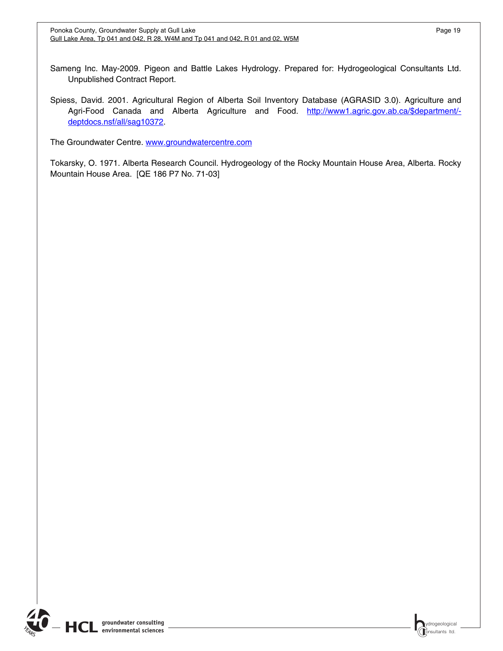Sameng Inc. May-2009. Pigeon and Battle Lakes Hydrology. Prepared for: Hydrogeological Consultants Ltd. Unpublished Contract Report.

Spiess, David. 2001. Agricultural Region of Alberta Soil Inventory Database (AGRASID 3.0). Agriculture and Agri-Food Canada and Alberta Agriculture and Food. http://www1.agric.gov.ab.ca/\$department/deptdocs.nsf/all/sag10372.

The Groundwater Centre. [www.groundwatercentre.com](http://www.groundwatercentre.com/)

Tokarsky, O. 1971. Alberta Research Council. Hydrogeology of the Rocky Mountain House Area, Alberta. Rocky Mountain House Area. [QE 186 P7 No. 71-03]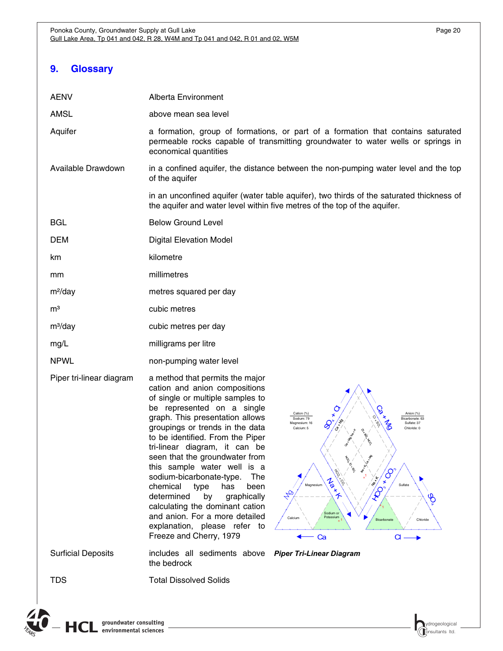## <span id="page-23-1"></span><span id="page-23-0"></span>**9. Glossary**

| <b>AENV</b>               | Alberta Environment                                                                                                                                                                                                                                                                                                                                                                                                                                                                                                                                                                                                                                                                                                                                                                                                                                                                                                                      |  |  |
|---------------------------|------------------------------------------------------------------------------------------------------------------------------------------------------------------------------------------------------------------------------------------------------------------------------------------------------------------------------------------------------------------------------------------------------------------------------------------------------------------------------------------------------------------------------------------------------------------------------------------------------------------------------------------------------------------------------------------------------------------------------------------------------------------------------------------------------------------------------------------------------------------------------------------------------------------------------------------|--|--|
| <b>AMSL</b>               | above mean sea level                                                                                                                                                                                                                                                                                                                                                                                                                                                                                                                                                                                                                                                                                                                                                                                                                                                                                                                     |  |  |
| Aquifer                   | a formation, group of formations, or part of a formation that contains saturated<br>permeable rocks capable of transmitting groundwater to water wells or springs in<br>economical quantities                                                                                                                                                                                                                                                                                                                                                                                                                                                                                                                                                                                                                                                                                                                                            |  |  |
| Available Drawdown        | in a confined aquifer, the distance between the non-pumping water level and the top<br>of the aquifer                                                                                                                                                                                                                                                                                                                                                                                                                                                                                                                                                                                                                                                                                                                                                                                                                                    |  |  |
|                           | in an unconfined aquifer (water table aquifer), two thirds of the saturated thickness of<br>the aquifer and water level within five metres of the top of the aquifer.                                                                                                                                                                                                                                                                                                                                                                                                                                                                                                                                                                                                                                                                                                                                                                    |  |  |
| <b>BGL</b>                | <b>Below Ground Level</b>                                                                                                                                                                                                                                                                                                                                                                                                                                                                                                                                                                                                                                                                                                                                                                                                                                                                                                                |  |  |
| <b>DEM</b>                | <b>Digital Elevation Model</b>                                                                                                                                                                                                                                                                                                                                                                                                                                                                                                                                                                                                                                                                                                                                                                                                                                                                                                           |  |  |
| km                        | kilometre                                                                                                                                                                                                                                                                                                                                                                                                                                                                                                                                                                                                                                                                                                                                                                                                                                                                                                                                |  |  |
| mm                        | millimetres                                                                                                                                                                                                                                                                                                                                                                                                                                                                                                                                                                                                                                                                                                                                                                                                                                                                                                                              |  |  |
| m <sup>2</sup> /day       | metres squared per day                                                                                                                                                                                                                                                                                                                                                                                                                                                                                                                                                                                                                                                                                                                                                                                                                                                                                                                   |  |  |
| m <sup>3</sup>            | cubic metres                                                                                                                                                                                                                                                                                                                                                                                                                                                                                                                                                                                                                                                                                                                                                                                                                                                                                                                             |  |  |
| $m^3$ /day                | cubic metres per day                                                                                                                                                                                                                                                                                                                                                                                                                                                                                                                                                                                                                                                                                                                                                                                                                                                                                                                     |  |  |
| mg/L                      | milligrams per litre                                                                                                                                                                                                                                                                                                                                                                                                                                                                                                                                                                                                                                                                                                                                                                                                                                                                                                                     |  |  |
| <b>NPWL</b>               | non-pumping water level                                                                                                                                                                                                                                                                                                                                                                                                                                                                                                                                                                                                                                                                                                                                                                                                                                                                                                                  |  |  |
| Piper tri-linear diagram  | a method that permits the major<br>cation and anion compositions<br>of single or multiple samples to<br>be represented on a single<br>Anion (%)<br>Cation (%)<br>graph. This presentation allows<br>Sodium: 79<br>Bicarbonate: 63<br>Magnesium: 16<br>Sulfate: 37<br>groupings or trends in the data<br>Calcium: 5<br>Chloride: 0<br>to be identified. From the Piper<br>tri-linear diagram, it can be<br>seen that the groundwater from<br><b>PONSITION</b><br>this sample water well is a<br>$\mathcal{S}$<br>sodium-bicarbonate-type.<br>The<br>$-5.5^{+1.1}$<br>Max A<br>Magnesium<br>Sulfate<br>chemical<br>has<br>type<br>been<br>$\mathcal{S}$<br>HB<br>determined<br>by<br>graphically<br>$\mathscr{B}$<br>calculating the dominant cation<br>Sodium or<br>and anion. For a more detailed<br>Potassium<br>Calcium<br>Bicarbonate<br>Chloride<br>explanation, please refer to<br>Freeze and Cherry, 1979<br>$d \rightarrow$<br>Ca |  |  |
| <b>Surficial Deposits</b> | includes all sediments above Piper Tri-Linear Diagram<br>the bedrock                                                                                                                                                                                                                                                                                                                                                                                                                                                                                                                                                                                                                                                                                                                                                                                                                                                                     |  |  |

 $\overline{\mathcal{L}}$ 

TDS Total Dissolved Solids

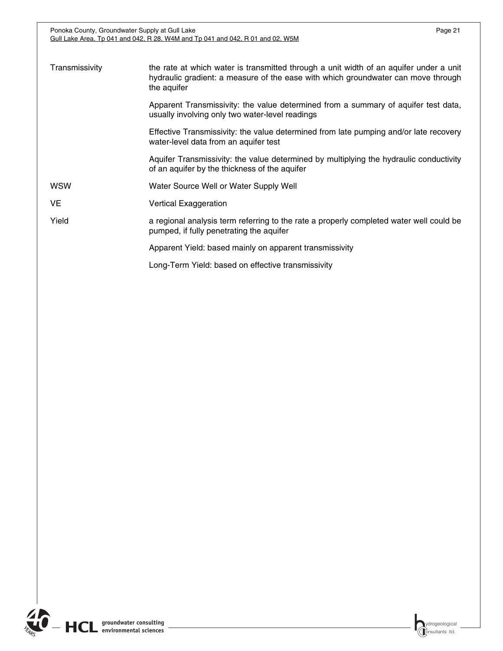Ponoka County, Groundwater Supply at Gull Lake Page 21 Gull Lake Area, Tp 041 and 042, R 28, W4M and Tp 041 and 042, R 01 and 02, W5M

| Transmissivity | the rate at which water is transmitted through a unit width of an aquifer under a unit<br>hydraulic gradient: a measure of the ease with which groundwater can move through<br>the aquifer |  |
|----------------|--------------------------------------------------------------------------------------------------------------------------------------------------------------------------------------------|--|
|                | Apparent Transmissivity: the value determined from a summary of aquifer test data,<br>usually involving only two water-level readings                                                      |  |
|                | Effective Transmissivity: the value determined from late pumping and/or late recovery<br>water-level data from an aquifer test                                                             |  |
|                | Aquifer Transmissivity: the value determined by multiplying the hydraulic conductivity<br>of an aquifer by the thickness of the aquifer                                                    |  |
| WSW            | Water Source Well or Water Supply Well                                                                                                                                                     |  |
| VE             | <b>Vertical Exaggeration</b>                                                                                                                                                               |  |
| Yield          | a regional analysis term referring to the rate a properly completed water well could be<br>pumped, if fully penetrating the aquifer                                                        |  |
|                | Apparent Yield: based mainly on apparent transmissivity                                                                                                                                    |  |
|                | Long-Term Yield: based on effective transmissivity                                                                                                                                         |  |

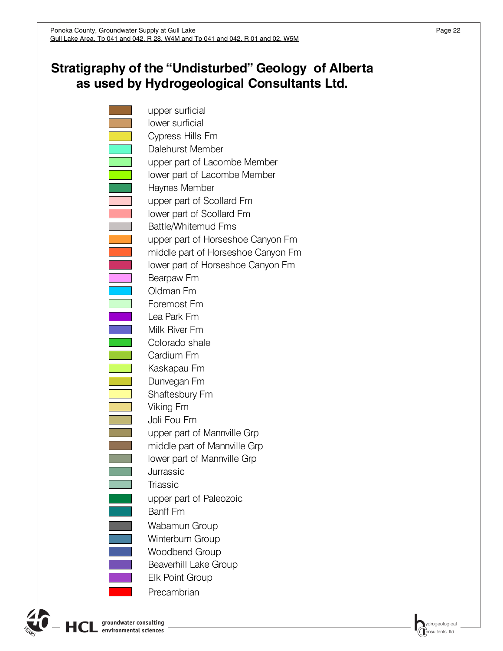# **Stratigraphy of the "Undisturbed" Geology of Alberta as used by Hydrogeological Consultants Ltd.**

upper surficial lower surficial Cypress Hills Fm Dalehurst Member upper part of Lacombe Member lower part of Lacombe Member Haynes Member upper part of Scollard Fm lower part of Scollard Fm Battle/Whitemud Fms upper part of Horseshoe Canyon Fm middle part of Horseshoe Canyon Fm lower part of Horseshoe Canyon Fm Bearpaw Fm Oldman Fm Foremost Fm Lea Park Fm Milk River Fm Colorado shale Cardium Fm Kaskapau Fm Dunvegan Fm Shaftesbury Fm Viking Fm Joli Fou Fm upper part of Mannville Grp middle part of Mannville Grp lower part of Mannville Grp Jurrassic **Triassic** Banff Fm Winterburn Group Woodbend Group Beaverhill Lake Group Elk Point Group Wabamun Group **Precambrian** upper part of Paleozoic